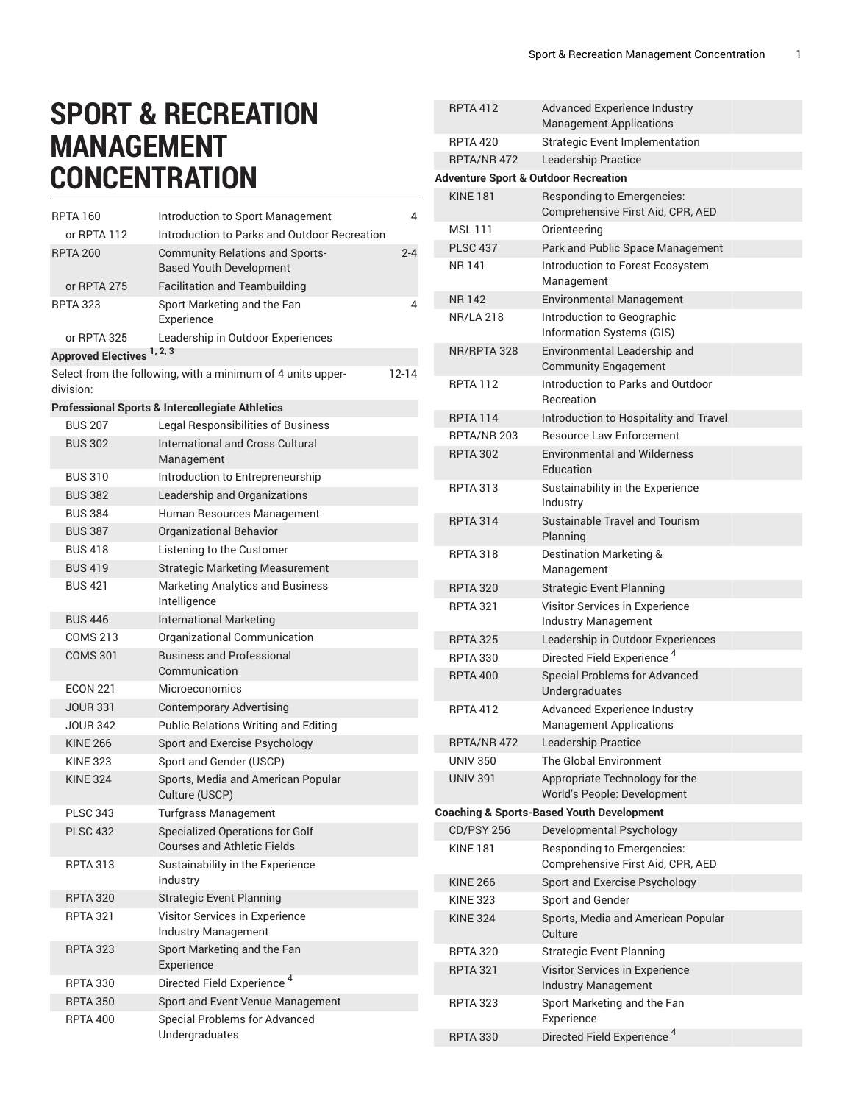## **SPORT & RECREATION MANAGEMENT CONCENTRATION**

| <b>RPTA 160</b>                       | Introduction to Sport Management                                  | 4         |                            |
|---------------------------------------|-------------------------------------------------------------------|-----------|----------------------------|
| or RPTA 112                           | Introduction to Parks and Outdoor Recreation                      |           | MSL <sup>'</sup>           |
| <b>RPTA 260</b>                       | <b>Community Relations and Sports-</b>                            | $2 - 4$   | <b>PLSC</b>                |
|                                       | <b>Based Youth Development</b>                                    |           | NR 14                      |
| or RPTA 275                           | <b>Facilitation and Teambuilding</b>                              |           |                            |
| <b>RPTA 323</b>                       | Sport Marketing and the Fan                                       | 4         | NR 14                      |
|                                       | Experience                                                        |           | NR/L                       |
| or RPTA 325                           | Leadership in Outdoor Experiences                                 |           | NR/R                       |
| Approved Electives <sup>1, 2, 3</sup> |                                                                   |           |                            |
| division:                             | Select from the following, with a minimum of 4 units upper-       | $12 - 14$ | <b>RPTA</b>                |
|                                       | <b>Professional Sports &amp; Intercollegiate Athletics</b>        |           |                            |
| <b>BUS 207</b>                        | <b>Legal Responsibilities of Business</b>                         |           | <b>RPTA</b>                |
| <b>BUS 302</b>                        | <b>International and Cross Cultural</b>                           |           | <b>RPTA</b>                |
|                                       | Management                                                        |           | <b>RPTA</b>                |
| <b>BUS 310</b>                        | Introduction to Entrepreneurship                                  |           |                            |
| <b>BUS 382</b>                        | Leadership and Organizations                                      |           | <b>RPTA</b>                |
| <b>BUS 384</b>                        | Human Resources Management                                        |           |                            |
| <b>BUS 387</b>                        | <b>Organizational Behavior</b>                                    |           | <b>RPTA</b>                |
| <b>BUS 418</b>                        | Listening to the Customer                                         |           | <b>RPTA</b>                |
| <b>BUS 419</b>                        | <b>Strategic Marketing Measurement</b>                            |           |                            |
| <b>BUS 421</b>                        | <b>Marketing Analytics and Business</b>                           |           | <b>RPTA</b>                |
|                                       | Intelligence                                                      |           | <b>RPTA</b>                |
| <b>BUS 446</b>                        | <b>International Marketing</b>                                    |           |                            |
| <b>COMS 213</b>                       | Organizational Communication                                      |           | <b>RPTA</b>                |
| <b>COMS 301</b>                       | <b>Business and Professional</b>                                  |           | <b>RPTA</b>                |
|                                       | Communication                                                     |           | <b>RPTA</b>                |
| <b>ECON 221</b>                       | <b>Microeconomics</b>                                             |           |                            |
| <b>JOUR 331</b>                       | <b>Contemporary Advertising</b>                                   |           | <b>RPTA</b>                |
| <b>JOUR 342</b>                       | <b>Public Relations Writing and Editing</b>                       |           |                            |
| <b>KINE 266</b>                       | Sport and Exercise Psychology                                     |           | <b>RPTA</b><br><b>UNIV</b> |
| <b>KINE 323</b><br><b>KINE 324</b>    | Sport and Gender (USCP)                                           |           | <b>UNIV</b>                |
|                                       | Sports, Media and American Popular<br>Culture (USCP)              |           |                            |
| <b>PLSC 343</b>                       | <b>Turfgrass Management</b>                                       |           | Coachin                    |
| <b>PLSC 432</b>                       | Specialized Operations for Golf                                   |           | CD/P                       |
|                                       | <b>Courses and Athletic Fields</b>                                |           | KINE                       |
| <b>RPTA 313</b>                       | Sustainability in the Experience<br>Industry                      |           | <b>KINE</b>                |
| <b>RPTA 320</b>                       | <b>Strategic Event Planning</b>                                   |           | <b>KINE</b>                |
| <b>RPTA 321</b>                       | Visitor Services in Experience                                    |           | <b>KINE</b>                |
|                                       | Industry Management                                               |           |                            |
| <b>RPTA 323</b>                       | Sport Marketing and the Fan                                       |           | <b>RPTA</b>                |
|                                       | Experience                                                        |           | <b>RPTA</b>                |
| <b>RPTA 330</b>                       | Directed Field Experience <sup>4</sup>                            |           |                            |
| <b>RPTA 350</b><br><b>RPTA 400</b>    | Sport and Event Venue Management<br>Special Problems for Advanced |           | <b>RPTA</b>                |
|                                       | Undergraduates                                                    |           | <b>RPTA</b>                |

|                                                      | <b>RPTA 412</b>   | <b>Advanced Experience Industry</b><br><b>Management Applications</b> |  |  |  |  |
|------------------------------------------------------|-------------------|-----------------------------------------------------------------------|--|--|--|--|
|                                                      | <b>RPTA 420</b>   | <b>Strategic Event Implementation</b>                                 |  |  |  |  |
|                                                      | RPTA/NR 472       | Leadership Practice                                                   |  |  |  |  |
| <b>Adventure Sport &amp; Outdoor Recreation</b>      |                   |                                                                       |  |  |  |  |
|                                                      | <b>KINF 181</b>   | Responding to Emergencies:<br>Comprehensive First Aid, CPR, AED       |  |  |  |  |
|                                                      | <b>MSL111</b>     | Orienteering                                                          |  |  |  |  |
|                                                      | <b>PLSC 437</b>   | Park and Public Space Management                                      |  |  |  |  |
|                                                      | NR 141            | Introduction to Forest Ecosystem<br>Management                        |  |  |  |  |
|                                                      | <b>NR142</b>      | <b>Environmental Management</b>                                       |  |  |  |  |
|                                                      | <b>NR/LA 218</b>  | Introduction to Geographic<br>Information Systems (GIS)               |  |  |  |  |
|                                                      | NR/RPTA 328       | Environmental Leadership and<br><b>Community Engagement</b>           |  |  |  |  |
|                                                      | <b>RPTA 112</b>   | Introduction to Parks and Outdoor<br>Recreation                       |  |  |  |  |
|                                                      | <b>RPTA 114</b>   | Introduction to Hospitality and Travel                                |  |  |  |  |
|                                                      | RPTA/NR 203       | <b>Resource Law Enforcement</b>                                       |  |  |  |  |
|                                                      | <b>RPTA 302</b>   | <b>Environmental and Wilderness</b><br>Education                      |  |  |  |  |
|                                                      | <b>RPTA 313</b>   | Sustainability in the Experience<br>Industry                          |  |  |  |  |
|                                                      | <b>RPTA 314</b>   | Sustainable Travel and Tourism<br>Planning                            |  |  |  |  |
|                                                      | <b>RPTA 318</b>   | Destination Marketing &<br>Management                                 |  |  |  |  |
|                                                      | <b>RPTA 320</b>   | <b>Strategic Event Planning</b>                                       |  |  |  |  |
|                                                      | <b>RPTA 321</b>   | Visitor Services in Experience<br>Industry Management                 |  |  |  |  |
|                                                      | <b>RPTA 325</b>   | Leadership in Outdoor Experiences                                     |  |  |  |  |
|                                                      | <b>RPTA 330</b>   | Directed Field Experience <sup>4</sup>                                |  |  |  |  |
|                                                      | <b>RPTA 400</b>   | <b>Special Problems for Advanced</b><br>Undergraduates                |  |  |  |  |
|                                                      | <b>RPTA 412</b>   | <b>Advanced Experience Industry</b><br><b>Management Applications</b> |  |  |  |  |
|                                                      | RPTA/NR 472       | Leadership Practice                                                   |  |  |  |  |
|                                                      | <b>UNIV 350</b>   | The Global Environment                                                |  |  |  |  |
|                                                      | <b>UNIV 391</b>   | Appropriate Technology for the<br>World's People: Development         |  |  |  |  |
| <b>Coaching &amp; Sports-Based Youth Development</b> |                   |                                                                       |  |  |  |  |
|                                                      | <b>CD/PSY 256</b> | Developmental Psychology                                              |  |  |  |  |
|                                                      | <b>KINF 181</b>   | Responding to Emergencies:<br>Comprehensive First Aid, CPR, AED       |  |  |  |  |
|                                                      | <b>KINE 266</b>   | Sport and Exercise Psychology                                         |  |  |  |  |
|                                                      | <b>KINE 323</b>   | Sport and Gender                                                      |  |  |  |  |
|                                                      | <b>KINE 324</b>   | Sports, Media and American Popular<br>Culture                         |  |  |  |  |
|                                                      | <b>RPTA 320</b>   | <b>Strategic Event Planning</b>                                       |  |  |  |  |
|                                                      | <b>RPTA 321</b>   | Visitor Services in Experience<br>Industry Management                 |  |  |  |  |
|                                                      | <b>RPTA 323</b>   | Sport Marketing and the Fan<br>Experience                             |  |  |  |  |
|                                                      | <b>RPTA 330</b>   | Directed Field Experience <sup>4</sup>                                |  |  |  |  |
|                                                      |                   |                                                                       |  |  |  |  |